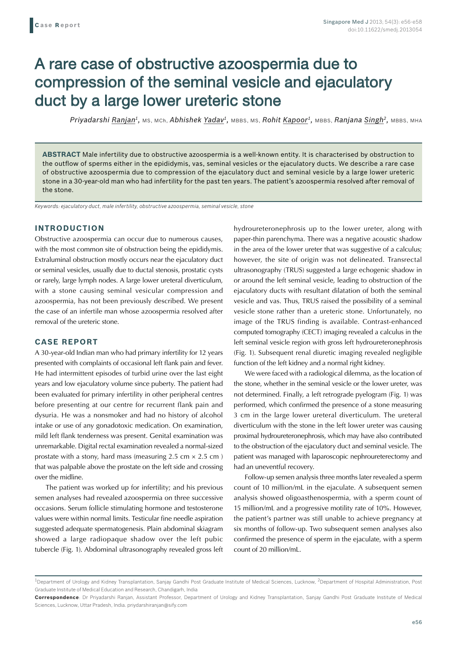# A rare case of obstructive azoospermia due to compression of the seminal vesicle and ejaculatory duct by a large lower ureteric stone

*Priyadarshi Ranjan1,* MS, MCh, *Abhishek Yadav1,* MBBS, MS, *Rohit Kapoor1,* MBBS, *Ranjana Singh2,* MBBS, MHA

**ABSTRACT** Male infertility due to obstructive azoospermia is a well-known entity. It is characterised by obstruction to the outflow of sperms either in the epididymis, vas, seminal vesicles or the ejaculatory ducts. We describe a rare case of obstructive azoospermia due to compression of the ejaculatory duct and seminal vesicle by a large lower ureteric stone in a 30-year-old man who had infertility for the past ten years. The patient's azoospermia resolved after removal of the stone.

*Keywords: ejaculatory duct, male infertility, obstructive azoospermia, seminal vesicle, stone*

## **INTRODUCTION**

Obstructive azoospermia can occur due to numerous causes, with the most common site of obstruction being the epididymis. Extraluminal obstruction mostly occurs near the ejaculatory duct or seminal vesicles, usually due to ductal stenosis, prostatic cysts or rarely, large lymph nodes. A large lower ureteral diverticulum, with a stone causing seminal vesicular compression and azoospermia, has not been previously described. We present the case of an infertile man whose azoospermia resolved after removal of the ureteric stone.

# **CASE REPORT**

A 30-year-old Indian man who had primary infertility for 12 years presented with complaints of occasional left flank pain and fever. He had intermittent episodes of turbid urine over the last eight years and low ejaculatory volume since puberty. The patient had been evaluated for primary infertility in other peripheral centres before presenting at our centre for recurrent flank pain and dysuria. He was a nonsmoker and had no history of alcohol intake or use of any gonadotoxic medication. On examination, mild left flank tenderness was present. Genital examination was unremarkable. Digital rectal examination revealed a normal-sized prostate with a stony, hard mass (measuring  $2.5 \text{ cm} \times 2.5 \text{ cm}$ ) that was palpable above the prostate on the left side and crossing over the midline.

The patient was worked up for infertility; and his previous semen analyses had revealed azoospermia on three successive occasions. Serum follicle stimulating hormone and testosterone values were within normal limits. Testicular fine needle aspiration suggested adequate spermatogenesis. Plain abdominal skiagram showed a large radiopaque shadow over the left pubic tubercle (Fig. 1). Abdominal ultrasonography revealed gross left hydroureteronephrosis up to the lower ureter, along with paper-thin parenchyma. There was a negative acoustic shadow in the area of the lower ureter that was suggestive of a calculus; however, the site of origin was not delineated. Transrectal ultrasonography (TRUS) suggested a large echogenic shadow in or around the left seminal vesicle, leading to obstruction of the ejaculatory ducts with resultant dilatation of both the seminal vesicle and vas. Thus, TRUS raised the possibility of a seminal vesicle stone rather than a ureteric stone. Unfortunately, no image of the TRUS finding is available. Contrast-enhanced computed tomography (CECT) imaging revealed a calculus in the left seminal vesicle region with gross left hydroureteronephrosis (Fig. 1). Subsequent renal diuretic imaging revealed negligible function of the left kidney and a normal right kidney.

We were faced with a radiological dilemma, as the location of the stone, whether in the seminal vesicle or the lower ureter, was not determined. Finally, a left retrograde pyelogram (Fig. 1) was performed, which confirmed the presence of a stone measuring 3 cm in the large lower ureteral diverticulum. The ureteral diverticulum with the stone in the left lower ureter was causing proximal hydroureteronephrosis, which may have also contributed to the obstruction of the ejaculatory duct and seminal vesicle. The patient was managed with laparoscopic nephroureterectomy and had an uneventful recovery.

Follow-up semen analysis three months later revealed a sperm count of 10 million/mL in the ejaculate. A subsequent semen analysis showed oligoasthenospermia, with a sperm count of 15 million/mL and a progressive motility rate of 10%. However, the patient's partner was still unable to achieve pregnancy at six months of follow-up. Two subsequent semen analyses also confirmed the presence of sperm in the ejaculate, with a sperm count of 20 million/mL.

<sup>&</sup>lt;sup>1</sup>Department of Urology and Kidney Transplantation, Sanjay Gandhi Post Graduate Institute of Medical Sciences, Lucknow, <sup>2</sup>Department of Hospital Administration, Post Graduate Institute of Medical Education and Research, Chandigarh, India

**Correspondence**: Dr Priyadarshi Ranjan, Assistant Professor, Department of Urology and Kidney Transplantation, Sanjay Gandhi Post Graduate Institute of Medical Sciences, Lucknow, Uttar Pradesh, India. priydarshiranjan@sify.com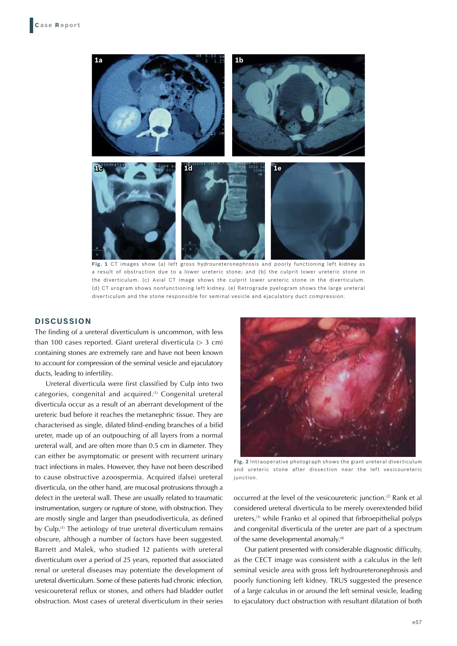

**Fig. 1** CT images show (a) left gross hydroureteronephrosis and poorly functioning left kidney as a result of obstruction due to a lower ureteric stone; and (b) the culprit lower ureteric stone in the diverticulum. (c) Axial CT image shows the culprit lower ureteric stone in the diverticulum. (d) CT urogram shows nonfunctioning left kidney. (e) Retrograde pyelogram shows the large ureteral diverticulum and the stone responsible for seminal vesicle and ejaculatory duct compression.

### **DISCUSSION**

The finding of a ureteral diverticulum is uncommon, with less than 100 cases reported. Giant ureteral diverticula  $(> 3 cm)$ containing stones are extremely rare and have not been known to account for compression of the seminal vesicle and ejaculatory ducts, leading to infertility.

Ureteral diverticula were first classified by Culp into two categories, congenital and acquired.(1) Congenital ureteral diverticula occur as a result of an aberrant development of the ureteric bud before it reaches the metanephric tissue. They are characterised as single, dilated blind-ending branches of a bifid ureter, made up of an outpouching of all layers from a normal ureteral wall, and are often more than 0.5 cm in diameter. They can either be asymptomatic or present with recurrent urinary tract infections in males. However, they have not been described to cause obstructive azoospermia. Acquired (false) ureteral diverticula, on the other hand, are mucosal protrusions through a defect in the ureteral wall. These are usually related to traumatic instrumentation, surgery or rupture of stone, with obstruction. They are mostly single and larger than pseudodiverticula, as defined by Culp.<sup>(1)</sup> The aetiology of true ureteral diverticulum remains obscure, although a number of factors have been suggested. Barrett and Malek, who studied 12 patients with ureteral diverticulum over a period of 25 years, reported that associated renal or ureteral diseases may potentiate the development of ureteral diverticulum. Some of these patients had chronic infection, vesicoureteral reflux or stones, and others had bladder outlet obstruction. Most cases of ureteral diverticulum in their series



**Fig. 2** Intraoperative photograph shows the giant ureteral diverticulum and ureteric stone after dissection near the left vesicoureteric junction.

occurred at the level of the vesicoureteric junction.<sup>(2)</sup> Rank et al considered ureteral diverticula to be merely overextended bifid ureters, $(3)$  while Franko et al opined that firbroepithelial polyps and congenital diverticula of the ureter are part of a spectrum of the same developmental anomaly.(4)

Our patient presented with considerable diagnostic difficulty, as the CECT image was consistent with a calculus in the left seminal vesicle area with gross left hydroureteronephrosis and poorly functioning left kidney. TRUS suggested the presence of a large calculus in or around the left seminal vesicle, leading to ejaculatory duct obstruction with resultant dilatation of both